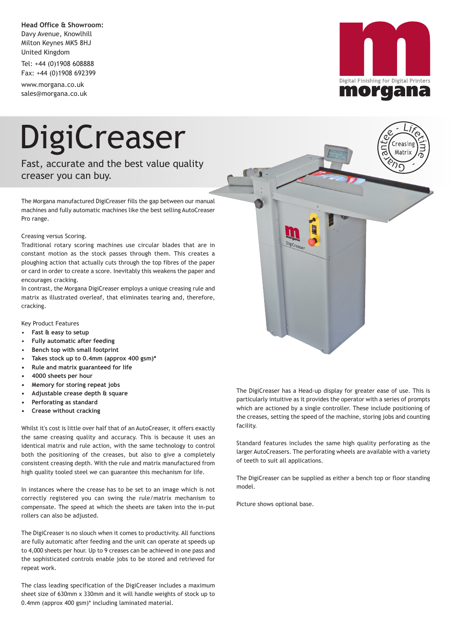**Head Office & Showroom:** Davy Avenue, Knowlhill Milton Keynes MK5 8HJ United Kingdom

Tel: +44 (0)1908 608888 Fax: +44 (0)1908 692399

www.morgana.co.uk sales@morgana.co.uk



## DigiCreaser

Fast, accurate and the best value quality creaser you can buy.

The Morgana manufactured DigiCreaser fills the gap between our manual machines and fully automatic machines like the best selling AutoCreaser Pro range.

## Creasing versus Scoring.

Traditional rotary scoring machines use circular blades that are in constant motion as the stock passes through them. This creates a ploughing action that actually cuts through the top fibres of the paper or card in order to create a score. Inevitably this weakens the paper and encourages cracking.

In contrast, the Morgana DigiCreaser employs a unique creasing rule and matrix as illustrated overleaf, that eliminates tearing and, therefore, cracking.

Key Product Features

- **Fast & easy to setup**
- **Fully automatic after feeding**
- **Bench top with small footprint**
- **Takes stock up to 0.4mm (approx 400 gsm)\***
- **Rule and matrix guaranteed for life**
- **4000 sheets per hour**
- **Memory for storing repeat jobs**
- **Adjustable crease depth & square**
- **Perforating as standard**
- **Crease without cracking**

Whilst it's cost is little over half that of an AutoCreaser, it offers exactly the same creasing quality and accuracy. This is because it uses an identical matrix and rule action, with the same technology to control both the positioning of the creases, but also to give a completely consistent creasing depth. With the rule and matrix manufactured from high quality tooled steel we can guarantee this mechanism for life.

In instances where the crease has to be set to an image which is not correctly registered you can swing the rule/matrix mechanism to compensate. The speed at which the sheets are taken into the in-put rollers can also be adjusted.

The DigiCreaser is no slouch when it comes to productivity. All functions are fully automatic after feeding and the unit can operate at speeds up to 4,000 sheets per hour. Up to 9 creases can be achieved in one pass and the sophisticated controls enable jobs to be stored and retrieved for repeat work.

The class leading specification of the DigiCreaser includes a maximum sheet size of 630mm x 330mm and it will handle weights of stock up to 0.4mm (approx 400 gsm)\* including laminated material.



The DigiCreaser has a Head-up display for greater ease of use. This is particularly intuitive as it provides the operator with a series of prompts which are actioned by a single controller. These include positioning of the creases, setting the speed of the machine, storing jobs and counting facility.

Standard features includes the same high quality perforating as the larger AutoCreasers. The perforating wheels are available with a variety of teeth to suit all applications.

The DigiCreaser can be supplied as either a bench top or floor standing model.

Picture shows optional base.